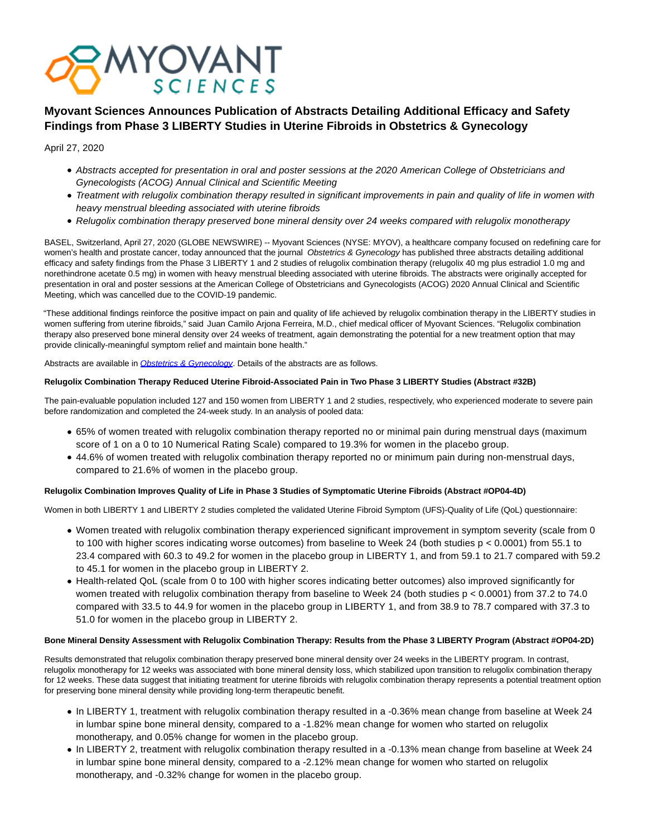

# **Myovant Sciences Announces Publication of Abstracts Detailing Additional Efficacy and Safety Findings from Phase 3 LIBERTY Studies in Uterine Fibroids in Obstetrics & Gynecology**

# April 27, 2020

- Abstracts accepted for presentation in oral and poster sessions at the 2020 American College of Obstetricians and Gynecologists (ACOG) Annual Clinical and Scientific Meeting
- Treatment with relugolix combination therapy resulted in significant improvements in pain and quality of life in women with heavy menstrual bleeding associated with uterine fibroids
- Relugolix combination therapy preserved bone mineral density over 24 weeks compared with relugolix monotherapy

BASEL, Switzerland, April 27, 2020 (GLOBE NEWSWIRE) -- Myovant Sciences (NYSE: MYOV), a healthcare company focused on redefining care for women's health and prostate cancer, today announced that the journal Obstetrics & Gynecology has published three abstracts detailing additional efficacy and safety findings from the Phase 3 LIBERTY 1 and 2 studies of relugolix combination therapy (relugolix 40 mg plus estradiol 1.0 mg and norethindrone acetate 0.5 mg) in women with heavy menstrual bleeding associated with uterine fibroids. The abstracts were originally accepted for presentation in oral and poster sessions at the American College of Obstetricians and Gynecologists (ACOG) 2020 Annual Clinical and Scientific Meeting, which was cancelled due to the COVID-19 pandemic.

"These additional findings reinforce the positive impact on pain and quality of life achieved by relugolix combination therapy in the LIBERTY studies in women suffering from uterine fibroids," said Juan Camilo Arjona Ferreira, M.D., chief medical officer of Myovant Sciences. "Relugolix combination therapy also preserved bone mineral density over 24 weeks of treatment, again demonstrating the potential for a new treatment option that may provide clinically-meaningful symptom relief and maintain bone health."

Abstracts are available in [Obstetrics & Gynecology](https://www.globenewswire.com/Tracker?data=WnWmvtIng2pijAQKczWi5VXFghn-zT5YiWo0wQElrFwOZ9T5h1jgjH4gScTdomHE-FNg5IDqRpUIaSIf7AZ_ICZueF-Ws4VIQRP1fohSfG0303lMWo9WNRji0zWmbaDf7eB6Oft0O2G1K3yXmmcyOA==). Details of the abstracts are as follows.

# **Relugolix Combination Therapy Reduced Uterine Fibroid-Associated Pain in Two Phase 3 LIBERTY Studies (Abstract #32B)**

The pain-evaluable population included 127 and 150 women from LIBERTY 1 and 2 studies, respectively, who experienced moderate to severe pain before randomization and completed the 24-week study. In an analysis of pooled data:

- 65% of women treated with relugolix combination therapy reported no or minimal pain during menstrual days (maximum score of 1 on a 0 to 10 Numerical Rating Scale) compared to 19.3% for women in the placebo group.
- 44.6% of women treated with relugolix combination therapy reported no or minimum pain during non-menstrual days, compared to 21.6% of women in the placebo group.

# **Relugolix Combination Improves Quality of Life in Phase 3 Studies of Symptomatic Uterine Fibroids (Abstract #OP04-4D)**

Women in both LIBERTY 1 and LIBERTY 2 studies completed the validated Uterine Fibroid Symptom (UFS)-Quality of Life (QoL) questionnaire:

- Women treated with relugolix combination therapy experienced significant improvement in symptom severity (scale from 0 to 100 with higher scores indicating worse outcomes) from baseline to Week 24 (both studies p < 0.0001) from 55.1 to 23.4 compared with 60.3 to 49.2 for women in the placebo group in LIBERTY 1, and from 59.1 to 21.7 compared with 59.2 to 45.1 for women in the placebo group in LIBERTY 2.
- Health-related QoL (scale from 0 to 100 with higher scores indicating better outcomes) also improved significantly for women treated with relugolix combination therapy from baseline to Week 24 (both studies p < 0.0001) from 37.2 to 74.0 compared with 33.5 to 44.9 for women in the placebo group in LIBERTY 1, and from 38.9 to 78.7 compared with 37.3 to 51.0 for women in the placebo group in LIBERTY 2.

# **Bone Mineral Density Assessment with Relugolix Combination Therapy: Results from the Phase 3 LIBERTY Program (Abstract #OP04-2D)**

Results demonstrated that relugolix combination therapy preserved bone mineral density over 24 weeks in the LIBERTY program. In contrast, relugolix monotherapy for 12 weeks was associated with bone mineral density loss, which stabilized upon transition to relugolix combination therapy for 12 weeks. These data suggest that initiating treatment for uterine fibroids with relugolix combination therapy represents a potential treatment option for preserving bone mineral density while providing long-term therapeutic benefit.

- In LIBERTY 1, treatment with relugolix combination therapy resulted in a -0.36% mean change from baseline at Week 24 in lumbar spine bone mineral density, compared to a -1.82% mean change for women who started on relugolix monotherapy, and 0.05% change for women in the placebo group.
- In LIBERTY 2, treatment with relugolix combination therapy resulted in a -0.13% mean change from baseline at Week 24 in lumbar spine bone mineral density, compared to a -2.12% mean change for women who started on relugolix monotherapy, and -0.32% change for women in the placebo group.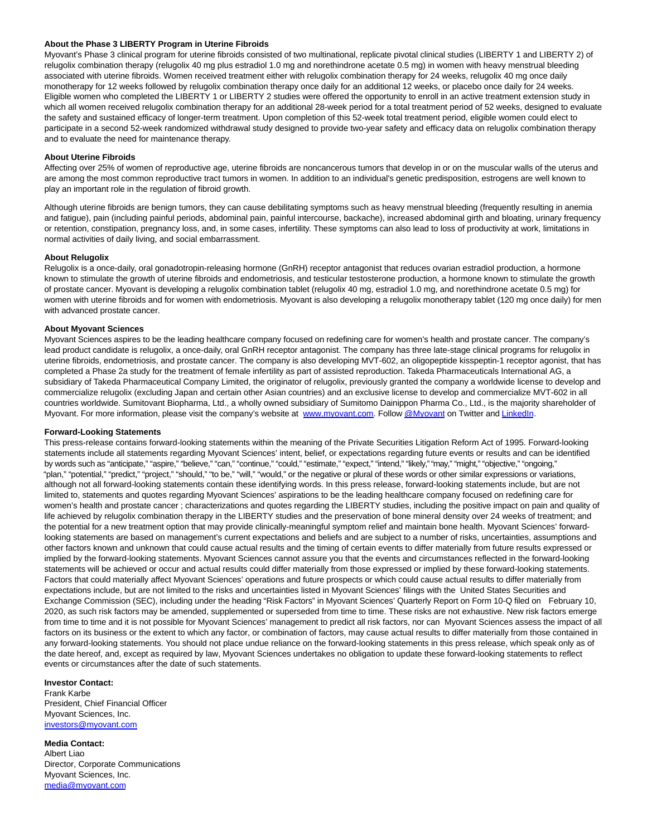#### **About the Phase 3 LIBERTY Program in Uterine Fibroids**

Myovant's Phase 3 clinical program for uterine fibroids consisted of two multinational, replicate pivotal clinical studies (LIBERTY 1 and LIBERTY 2) of relugolix combination therapy (relugolix 40 mg plus estradiol 1.0 mg and norethindrone acetate 0.5 mg) in women with heavy menstrual bleeding associated with uterine fibroids. Women received treatment either with relugolix combination therapy for 24 weeks, relugolix 40 mg once daily monotherapy for 12 weeks followed by relugolix combination therapy once daily for an additional 12 weeks, or placebo once daily for 24 weeks. Eligible women who completed the LIBERTY 1 or LIBERTY 2 studies were offered the opportunity to enroll in an active treatment extension study in which all women received relugolix combination therapy for an additional 28-week period for a total treatment period of 52 weeks, designed to evaluate the safety and sustained efficacy of longer-term treatment. Upon completion of this 52-week total treatment period, eligible women could elect to participate in a second 52-week randomized withdrawal study designed to provide two-year safety and efficacy data on relugolix combination therapy and to evaluate the need for maintenance therapy.

#### **About Uterine Fibroids**

Affecting over 25% of women of reproductive age, uterine fibroids are noncancerous tumors that develop in or on the muscular walls of the uterus and are among the most common reproductive tract tumors in women. In addition to an individual's genetic predisposition, estrogens are well known to play an important role in the regulation of fibroid growth.

Although uterine fibroids are benign tumors, they can cause debilitating symptoms such as heavy menstrual bleeding (frequently resulting in anemia and fatigue), pain (including painful periods, abdominal pain, painful intercourse, backache), increased abdominal girth and bloating, urinary frequency or retention, constipation, pregnancy loss, and, in some cases, infertility. These symptoms can also lead to loss of productivity at work, limitations in normal activities of daily living, and social embarrassment.

#### **About Relugolix**

Relugolix is a once-daily, oral gonadotropin-releasing hormone (GnRH) receptor antagonist that reduces ovarian estradiol production, a hormone known to stimulate the growth of uterine fibroids and endometriosis, and testicular testosterone production, a hormone known to stimulate the growth of prostate cancer. Myovant is developing a relugolix combination tablet (relugolix 40 mg, estradiol 1.0 mg, and norethindrone acetate 0.5 mg) for women with uterine fibroids and for women with endometriosis. Myovant is also developing a relugolix monotherapy tablet (120 mg once daily) for men with advanced prostate cancer.

#### **About Myovant Sciences**

Myovant Sciences aspires to be the leading healthcare company focused on redefining care for women's health and prostate cancer. The company's lead product candidate is relugolix, a once-daily, oral GnRH receptor antagonist. The company has three late-stage clinical programs for relugolix in uterine fibroids, endometriosis, and prostate cancer. The company is also developing MVT-602, an oligopeptide kisspeptin-1 receptor agonist, that has completed a Phase 2a study for the treatment of female infertility as part of assisted reproduction. Takeda Pharmaceuticals International AG, a subsidiary of Takeda Pharmaceutical Company Limited, the originator of relugolix, previously granted the company a worldwide license to develop and commercialize relugolix (excluding Japan and certain other Asian countries) and an exclusive license to develop and commercialize MVT-602 in all countries worldwide. Sumitovant Biopharma, Ltd., a wholly owned subsidiary of Sumitomo Dainippon Pharma Co., Ltd., is the majority shareholder of Myovant. For more information, please visit the company's website at [www.myovant.com.](https://www.globenewswire.com/Tracker?data=4yn9rjF7idBWwDlJ2KdOoDLceodjw5xKclKlRr_K255nQBvzD7AgWoFIvVqPsB6WgGriACG7uv4XNEzQ3d8Vqw==) Follow [@Myovant o](https://www.globenewswire.com/Tracker?data=TLA9AISN2SYYXwm8HHNLs2g7FnSP70zIP9EuRsIODkiOhkn8JjK9tpSXU7MCQQS3zsMASrdSYQjjaWQaVaEIZA==)n Twitter an[d LinkedIn.](https://www.globenewswire.com/Tracker?data=ULNESPL4NWsjovI7fK48BwP205O41Y-k0veT-w1f_XGTugrCsEuKOHiiGCS26KagnqqT4foL5Grd63l0I4oa9pUgC_k8txrFctB40ynvZLk=)

# **Forward-Looking Statements**

This press-release contains forward-looking statements within the meaning of the Private Securities Litigation Reform Act of 1995. Forward-looking statements include all statements regarding Myovant Sciences' intent, belief, or expectations regarding future events or results and can be identified by words such as "anticipate," "aspire," "believe," "can," "continue," "could," "estimate," "expect," "intend," "likely," "may," "might," "objective," "ongoing," "plan," "potential," "predict," "project," "should," "to be," "will," "would," or the negative or plural of these words or other similar expressions or variations, although not all forward-looking statements contain these identifying words. In this press release, forward-looking statements include, but are not limited to, statements and quotes regarding Myovant Sciences' aspirations to be the leading healthcare company focused on redefining care for women's health and prostate cancer ; characterizations and quotes regarding the LIBERTY studies, including the positive impact on pain and quality of life achieved by relugolix combination therapy in the LIBERTY studies and the preservation of bone mineral density over 24 weeks of treatment; and the potential for a new treatment option that may provide clinically-meaningful symptom relief and maintain bone health. Myovant Sciences' forwardlooking statements are based on management's current expectations and beliefs and are subject to a number of risks, uncertainties, assumptions and other factors known and unknown that could cause actual results and the timing of certain events to differ materially from future results expressed or implied by the forward-looking statements. Myovant Sciences cannot assure you that the events and circumstances reflected in the forward-looking statements will be achieved or occur and actual results could differ materially from those expressed or implied by these forward-looking statements. Factors that could materially affect Myovant Sciences' operations and future prospects or which could cause actual results to differ materially from expectations include, but are not limited to the risks and uncertainties listed in Myovant Sciences' filings with the United States Securities and Exchange Commission (SEC), including under the heading "Risk Factors" in Myovant Sciences' Quarterly Report on Form 10-Q filed on February 10, 2020, as such risk factors may be amended, supplemented or superseded from time to time. These risks are not exhaustive. New risk factors emerge from time to time and it is not possible for Myovant Sciences' management to predict all risk factors, nor can Myovant Sciences assess the impact of all factors on its business or the extent to which any factor, or combination of factors, may cause actual results to differ materially from those contained in any forward-looking statements. You should not place undue reliance on the forward-looking statements in this press release, which speak only as of the date hereof, and, except as required by law, Myovant Sciences undertakes no obligation to update these forward-looking statements to reflect events or circumstances after the date of such statements.

# **Investor Contact:**

Frank Karbe President, Chief Financial Officer Myovant Sciences, Inc. [investors@myovant.com](https://www.globenewswire.com/Tracker?data=5XSpGcbgR73u5BtoJAw1liBRIAz4ub8868eEk0nRZKyHxL-ZB2iimQrhlHN78VDZnskVm3tgGUWGUjTerllWAgZ6qLE44YmeAGrh3yflFxg=)

**Media Contact:** Albert Liao Director, Corporate Communications Myovant Sciences, Inc. [media@myovant.com](https://www.globenewswire.com/Tracker?data=BSOUPooROdXVuExznRr2DoaSHhPeIH8I77vuf_-U5G07JDjYMwwJbGEV7B8JfFK2w67ylF3ISG07Bbq0U8lLsg==)